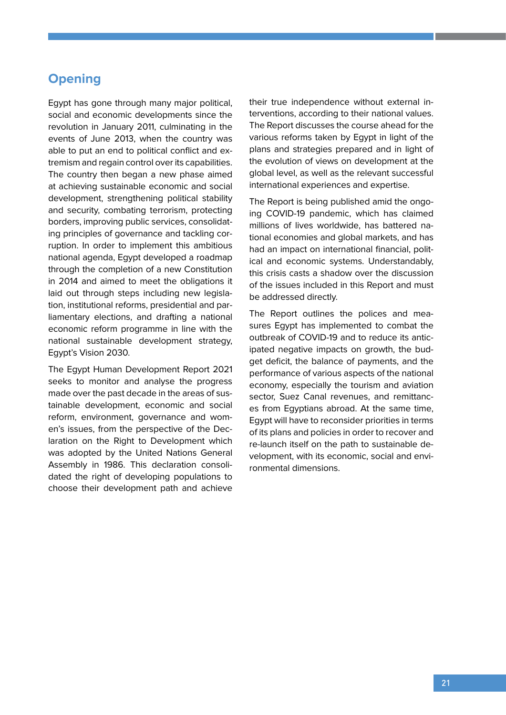# **Opening**

Egypt has gone through many major political, social and economic developments since the revolution in January 2011, culminating in the events of June 2013, when the country was able to put an end to political conflict and extremism and regain control over its capabilities. The country then began a new phase aimed at achieving sustainable economic and social development, strengthening political stability and security, combating terrorism, protecting borders, improving public services, consolidating principles of governance and tackling corruption. In order to implement this ambitious national agenda, Egypt developed a roadmap through the completion of a new Constitution in 2014 and aimed to meet the obligations it laid out through steps including new legislation, institutional reforms, presidential and parliamentary elections, and drafting a national economic reform programme in line with the national sustainable development strategy, Egypt's Vision 2030.

The Egypt Human Development Report 2021 seeks to monitor and analyse the progress made over the past decade in the areas of sustainable development, economic and social reform, environment, governance and women's issues, from the perspective of the Declaration on the Right to Development which was adopted by the United Nations General Assembly in 1986. This declaration consolidated the right of developing populations to choose their development path and achieve

their true independence without external interventions, according to their national values. The Report discusses the course ahead for the various reforms taken by Egypt in light of the plans and strategies prepared and in light of the evolution of views on development at the global level, as well as the relevant successful international experiences and expertise.

The Report is being published amid the ongoing COVID-19 pandemic, which has claimed millions of lives worldwide, has battered national economies and global markets, and has had an impact on international financial, political and economic systems. Understandably, this crisis casts a shadow over the discussion of the issues included in this Report and must be addressed directly.

The Report outlines the polices and measures Egypt has implemented to combat the outbreak of COVID-19 and to reduce its anticipated negative impacts on growth, the budget deficit, the balance of payments, and the performance of various aspects of the national economy, especially the tourism and aviation sector, Suez Canal revenues, and remittances from Egyptians abroad. At the same time, Egypt will have to reconsider priorities in terms of its plans and policies in order to recover and re-launch itself on the path to sustainable development, with its economic, social and environmental dimensions.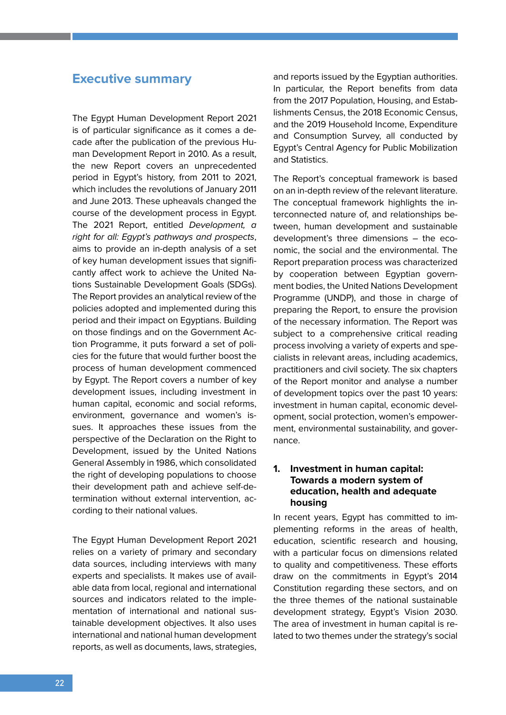### **Executive summary**

The Egypt Human Development Report 2021 is of particular significance as it comes a decade after the publication of the previous Human Development Report in 2010. As a result, the new Report covers an unprecedented period in Egypt's history, from 2011 to 2021, which includes the revolutions of January 2011 and June 2013. These upheavals changed the course of the development process in Egypt. The 2021 Report, entitled Development, a right for all: Egypt's pathways and prospects, aims to provide an in-depth analysis of a set of key human development issues that significantly affect work to achieve the United Nations Sustainable Development Goals (SDGs). The Report provides an analytical review of the policies adopted and implemented during this period and their impact on Egyptians. Building on those findings and on the Government Action Programme, it puts forward a set of policies for the future that would further boost the process of human development commenced by Egypt. The Report covers a number of key development issues, including investment in human capital, economic and social reforms, environment, governance and women's issues. It approaches these issues from the perspective of the Declaration on the Right to Development, issued by the United Nations General Assembly in 1986, which consolidated the right of developing populations to choose their development path and achieve self-determination without external intervention, according to their national values.

The Egypt Human Development Report 2021 relies on a variety of primary and secondary data sources, including interviews with many experts and specialists. It makes use of available data from local, regional and international sources and indicators related to the implementation of international and national sustainable development objectives. It also uses international and national human development reports, as well as documents, laws, strategies,

and reports issued by the Egyptian authorities. In particular, the Report benefits from data from the 2017 Population, Housing, and Establishments Census, the 2018 Economic Census, and the 2019 Household Income, Expenditure and Consumption Survey, all conducted by Egypt's Central Agency for Public Mobilization and Statistics.

The Report's conceptual framework is based on an in-depth review of the relevant literature. The conceptual framework highlights the interconnected nature of, and relationships between, human development and sustainable development's three dimensions – the economic, the social and the environmental. The Report preparation process was characterized by cooperation between Egyptian government bodies, the United Nations Development Programme (UNDP), and those in charge of preparing the Report, to ensure the provision of the necessary information. The Report was subject to a comprehensive critical reading process involving a variety of experts and specialists in relevant areas, including academics, practitioners and civil society. The six chapters of the Report monitor and analyse a number of development topics over the past 10 years: investment in human capital, economic development, social protection, women's empowerment, environmental sustainability, and governance.

#### **1. Investment in human capital: Towards a modern system of education, health and adequate housing**

In recent years, Egypt has committed to implementing reforms in the areas of health, education, scientific research and housing, with a particular focus on dimensions related to quality and competitiveness. These efforts draw on the commitments in Egypt's 2014 Constitution regarding these sectors, and on the three themes of the national sustainable development strategy, Egypt's Vision 2030. The area of investment in human capital is related to two themes under the strategy's social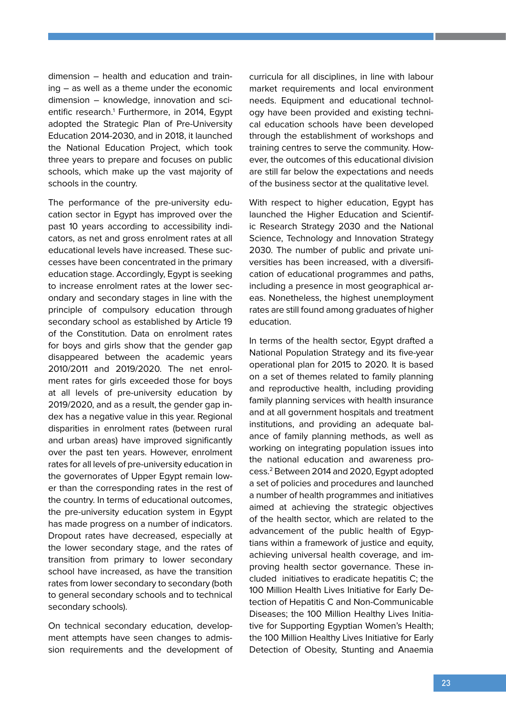dimension – health and education and training – as well as a theme under the economic dimension – knowledge, innovation and scientific research.<sup>1</sup> Furthermore, in 2014, Egypt adopted the Strategic Plan of Pre-University Education 2014-2030, and in 2018, it launched the National Education Project, which took three years to prepare and focuses on public schools, which make up the vast majority of schools in the country.

The performance of the pre-university education sector in Egypt has improved over the past 10 years according to accessibility indicators, as net and gross enrolment rates at all educational levels have increased. These successes have been concentrated in the primary education stage. Accordingly, Egypt is seeking to increase enrolment rates at the lower secondary and secondary stages in line with the principle of compulsory education through secondary school as established by Article 19 of the Constitution. Data on enrolment rates for boys and girls show that the gender gap disappeared between the academic years 2010/2011 and 2019/2020. The net enrolment rates for girls exceeded those for boys at all levels of pre-university education by 2019/2020, and as a result, the gender gap index has a negative value in this year. Regional disparities in enrolment rates (between rural and urban areas) have improved significantly over the past ten years. However, enrolment rates for all levels of pre-university education in the governorates of Upper Egypt remain lower than the corresponding rates in the rest of the country. In terms of educational outcomes, the pre-university education system in Egypt has made progress on a number of indicators. Dropout rates have decreased, especially at the lower secondary stage, and the rates of transition from primary to lower secondary school have increased, as have the transition rates from lower secondary to secondary (both to general secondary schools and to technical secondary schools).

On technical secondary education, development attempts have seen changes to admission requirements and the development of curricula for all disciplines, in line with labour market requirements and local environment needs. Equipment and educational technology have been provided and existing technical education schools have been developed through the establishment of workshops and training centres to serve the community. However, the outcomes of this educational division are still far below the expectations and needs of the business sector at the qualitative level.

With respect to higher education, Egypt has launched the Higher Education and Scientific Research Strategy 2030 and the National Science, Technology and Innovation Strategy 2030. The number of public and private universities has been increased, with a diversification of educational programmes and paths, including a presence in most geographical areas. Nonetheless, the highest unemployment rates are still found among graduates of higher education.

In terms of the health sector, Egypt drafted a National Population Strategy and its five-year operational plan for 2015 to 2020. It is based on a set of themes related to family planning and reproductive health, including providing family planning services with health insurance and at all government hospitals and treatment institutions, and providing an adequate balance of family planning methods, as well as working on integrating population issues into the national education and awareness process.2 Between 2014 and 2020, Egypt adopted a set of policies and procedures and launched a number of health programmes and initiatives aimed at achieving the strategic objectives of the health sector, which are related to the advancement of the public health of Egyptians within a framework of justice and equity, achieving universal health coverage, and improving health sector governance. These included initiatives to eradicate hepatitis C; the 100 Million Health Lives Initiative for Early Detection of Hepatitis C and Non-Communicable Diseases; the 100 Million Healthy Lives Initiative for Supporting Egyptian Women's Health; the 100 Million Healthy Lives Initiative for Early Detection of Obesity, Stunting and Anaemia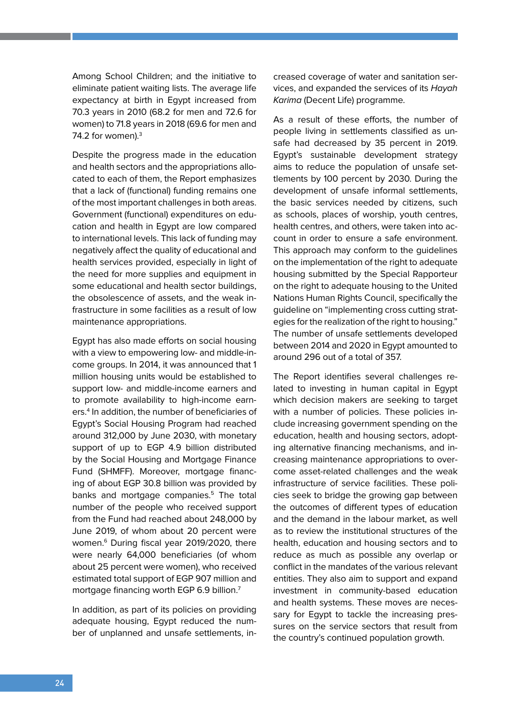Among School Children; and the initiative to eliminate patient waiting lists. The average life expectancy at birth in Egypt increased from 70.3 years in 2010 (68.2 for men and 72.6 for women) to 71.8 years in 2018 (69.6 for men and 74.2 for women). $3$ 

Despite the progress made in the education and health sectors and the appropriations allocated to each of them, the Report emphasizes that a lack of (functional) funding remains one of the most important challenges in both areas. Government (functional) expenditures on education and health in Egypt are low compared to international levels. This lack of funding may negatively affect the quality of educational and health services provided, especially in light of the need for more supplies and equipment in some educational and health sector buildings, the obsolescence of assets, and the weak infrastructure in some facilities as a result of low maintenance appropriations.

Egypt has also made efforts on social housing with a view to empowering low- and middle-income groups. In 2014, it was announced that 1 million housing units would be established to support low- and middle-income earners and to promote availability to high-income earners.<sup>4</sup> In addition, the number of beneficiaries of Egypt's Social Housing Program had reached around 312,000 by June 2030, with monetary support of up to EGP 4.9 billion distributed by the Social Housing and Mortgage Finance Fund (SHMFF). Moreover, mortgage financing of about EGP 30.8 billion was provided by banks and mortgage companies.<sup>5</sup> The total number of the people who received support from the Fund had reached about 248,000 by June 2019, of whom about 20 percent were women.<sup>6</sup> During fiscal year 2019/2020, there were nearly 64,000 beneficiaries (of whom about 25 percent were women), who received estimated total support of EGP 907 million and mortgage financing worth EGP 6.9 billion.<sup>7</sup>

In addition, as part of its policies on providing adequate housing, Egypt reduced the number of unplanned and unsafe settlements, increased coverage of water and sanitation services, and expanded the services of its Hayah Karima (Decent Life) programme.

As a result of these efforts, the number of people living in settlements classified as unsafe had decreased by 35 percent in 2019. Egypt's sustainable development strategy aims to reduce the population of unsafe settlements by 100 percent by 2030. During the development of unsafe informal settlements, the basic services needed by citizens, such as schools, places of worship, youth centres, health centres, and others, were taken into account in order to ensure a safe environment. This approach may conform to the guidelines on the implementation of the right to adequate housing submitted by the Special Rapporteur on the right to adequate housing to the United Nations Human Rights Council, specifically the guideline on "implementing cross cutting strategies for the realization of the right to housing." The number of unsafe settlements developed between 2014 and 2020 in Egypt amounted to around 296 out of a total of 357.

The Report identifies several challenges related to investing in human capital in Egypt which decision makers are seeking to target with a number of policies. These policies include increasing government spending on the education, health and housing sectors, adopting alternative financing mechanisms, and increasing maintenance appropriations to overcome asset-related challenges and the weak infrastructure of service facilities. These policies seek to bridge the growing gap between the outcomes of different types of education and the demand in the labour market, as well as to review the institutional structures of the health, education and housing sectors and to reduce as much as possible any overlap or conflict in the mandates of the various relevant entities. They also aim to support and expand investment in community-based education and health systems. These moves are necessary for Egypt to tackle the increasing pressures on the service sectors that result from the country's continued population growth.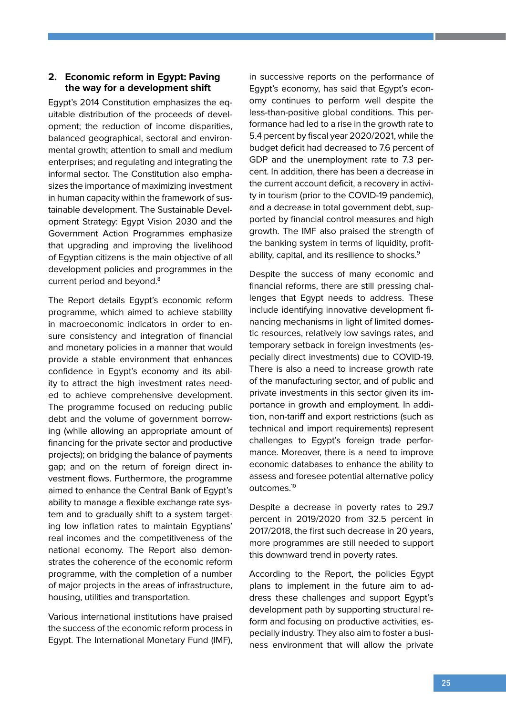#### **2. Economic reform in Egypt: Paving the way for a development shift**

Egypt's 2014 Constitution emphasizes the equitable distribution of the proceeds of development; the reduction of income disparities, balanced geographical, sectoral and environmental growth; attention to small and medium enterprises; and regulating and integrating the informal sector. The Constitution also emphasizes the importance of maximizing investment in human capacity within the framework of sustainable development. The Sustainable Development Strategy: Egypt Vision 2030 and the Government Action Programmes emphasize that upgrading and improving the livelihood of Egyptian citizens is the main objective of all development policies and programmes in the current period and beyond.<sup>8</sup>

The Report details Egypt's economic reform programme, which aimed to achieve stability in macroeconomic indicators in order to ensure consistency and integration of financial and monetary policies in a manner that would provide a stable environment that enhances confidence in Egypt's economy and its ability to attract the high investment rates needed to achieve comprehensive development. The programme focused on reducing public debt and the volume of government borrowing (while allowing an appropriate amount of financing for the private sector and productive projects); on bridging the balance of payments gap; and on the return of foreign direct investment flows. Furthermore, the programme aimed to enhance the Central Bank of Egypt's ability to manage a flexible exchange rate system and to gradually shift to a system targeting low inflation rates to maintain Egyptians' real incomes and the competitiveness of the national economy. The Report also demonstrates the coherence of the economic reform programme, with the completion of a number of major projects in the areas of infrastructure, housing, utilities and transportation.

Various international institutions have praised the success of the economic reform process in Egypt. The International Monetary Fund (IMF),

in successive reports on the performance of Egypt's economy, has said that Egypt's economy continues to perform well despite the less-than-positive global conditions. This performance had led to a rise in the growth rate to 5.4 percent by fiscal year 2020/2021, while the budget deficit had decreased to 7.6 percent of GDP and the unemployment rate to 7.3 percent. In addition, there has been a decrease in the current account deficit, a recovery in activity in tourism (prior to the COVID-19 pandemic), and a decrease in total government debt, supported by financial control measures and high growth. The IMF also praised the strength of the banking system in terms of liquidity, profitability, capital, and its resilience to shocks.<sup>9</sup>

Despite the success of many economic and financial reforms, there are still pressing challenges that Egypt needs to address. These include identifying innovative development financing mechanisms in light of limited domestic resources, relatively low savings rates, and temporary setback in foreign investments (especially direct investments) due to COVID-19. There is also a need to increase growth rate of the manufacturing sector, and of public and private investments in this sector given its importance in growth and employment. In addition, non-tariff and export restrictions (such as technical and import requirements) represent challenges to Egypt's foreign trade performance. Moreover, there is a need to improve economic databases to enhance the ability to assess and foresee potential alternative policy outcomes.10

Despite a decrease in poverty rates to 29.7 percent in 2019/2020 from 32.5 percent in 2017/2018, the first such decrease in 20 years, more programmes are still needed to support this downward trend in poverty rates.

According to the Report, the policies Egypt plans to implement in the future aim to address these challenges and support Egypt's development path by supporting structural reform and focusing on productive activities, especially industry. They also aim to foster a business environment that will allow the private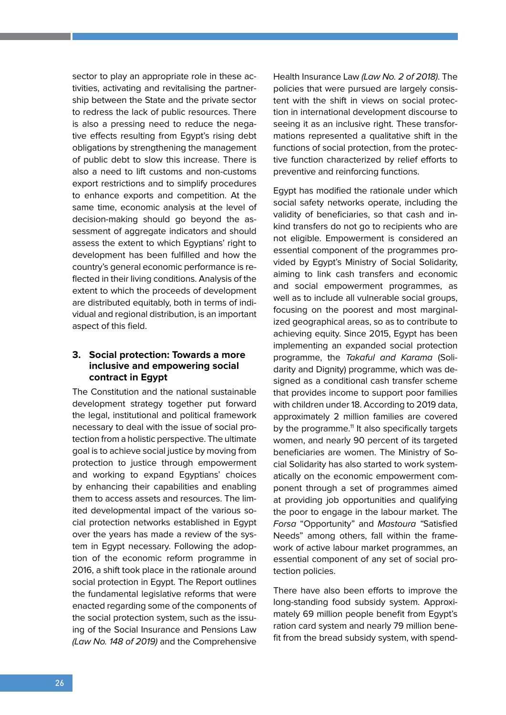sector to play an appropriate role in these activities, activating and revitalising the partnership between the State and the private sector to redress the lack of public resources. There is also a pressing need to reduce the negative effects resulting from Egypt's rising debt obligations by strengthening the management of public debt to slow this increase. There is also a need to lift customs and non-customs export restrictions and to simplify procedures to enhance exports and competition. At the same time, economic analysis at the level of decision-making should go beyond the assessment of aggregate indicators and should assess the extent to which Egyptians' right to development has been fulfilled and how the country's general economic performance is reflected in their living conditions. Analysis of the extent to which the proceeds of development are distributed equitably, both in terms of individual and regional distribution, is an important aspect of this field.

#### **3. Social protection: Towards a more inclusive and empowering social contract in Egypt**

The Constitution and the national sustainable development strategy together put forward the legal, institutional and political framework necessary to deal with the issue of social protection from a holistic perspective. The ultimate goal is to achieve social justice by moving from protection to justice through empowerment and working to expand Egyptians' choices by enhancing their capabilities and enabling them to access assets and resources. The limited developmental impact of the various social protection networks established in Egypt over the years has made a review of the system in Egypt necessary. Following the adoption of the economic reform programme in 2016, a shift took place in the rationale around social protection in Egypt. The Report outlines the fundamental legislative reforms that were enacted regarding some of the components of the social protection system, such as the issuing of the Social Insurance and Pensions Law (Law No. 148 of 2019) and the Comprehensive Health Insurance Law (Law No. 2 of 2018). The policies that were pursued are largely consistent with the shift in views on social protection in international development discourse to seeing it as an inclusive right. These transformations represented a qualitative shift in the functions of social protection, from the protective function characterized by relief efforts to preventive and reinforcing functions.

Egypt has modified the rationale under which social safety networks operate, including the validity of beneficiaries, so that cash and inkind transfers do not go to recipients who are not eligible. Empowerment is considered an essential component of the programmes provided by Egypt's Ministry of Social Solidarity, aiming to link cash transfers and economic and social empowerment programmes, as well as to include all vulnerable social groups, focusing on the poorest and most marginalized geographical areas, so as to contribute to achieving equity. Since 2015, Egypt has been implementing an expanded social protection programme, the Takaful and Karama (Solidarity and Dignity) programme, which was designed as a conditional cash transfer scheme that provides income to support poor families with children under 18. According to 2019 data, approximately 2 million families are covered by the programme.<sup>11</sup> It also specifically targets women, and nearly 90 percent of its targeted beneficiaries are women. The Ministry of Social Solidarity has also started to work systematically on the economic empowerment component through a set of programmes aimed at providing job opportunities and qualifying the poor to engage in the labour market. The Forsa "Opportunity" and Mastoura "Satisfied Needs" among others, fall within the framework of active labour market programmes, an essential component of any set of social protection policies.

There have also been efforts to improve the long-standing food subsidy system. Approximately 69 million people benefit from Egypt's ration card system and nearly 79 million benefit from the bread subsidy system, with spend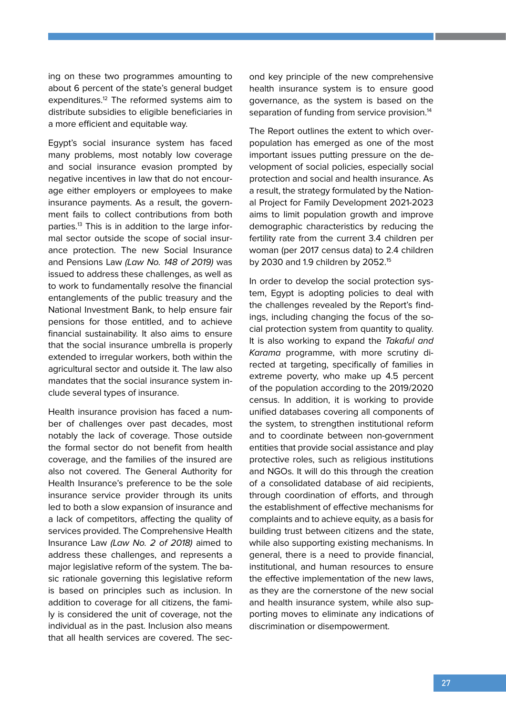ing on these two programmes amounting to about 6 percent of the state's general budget expenditures.<sup>12</sup> The reformed systems aim to distribute subsidies to eligible beneficiaries in a more efficient and equitable way.

Egypt's social insurance system has faced many problems, most notably low coverage and social insurance evasion prompted by negative incentives in law that do not encourage either employers or employees to make insurance payments. As a result, the government fails to collect contributions from both parties.13 This is in addition to the large informal sector outside the scope of social insurance protection. The new Social Insurance and Pensions Law (Law No. 148 of 2019) was issued to address these challenges, as well as to work to fundamentally resolve the financial entanglements of the public treasury and the National Investment Bank, to help ensure fair pensions for those entitled, and to achieve financial sustainability. It also aims to ensure that the social insurance umbrella is properly extended to irregular workers, both within the agricultural sector and outside it. The law also mandates that the social insurance system include several types of insurance.

Health insurance provision has faced a number of challenges over past decades, most notably the lack of coverage. Those outside the formal sector do not benefit from health coverage, and the families of the insured are also not covered. The General Authority for Health Insurance's preference to be the sole insurance service provider through its units led to both a slow expansion of insurance and a lack of competitors, affecting the quality of services provided. The Comprehensive Health Insurance Law (Law No. 2 of 2018) aimed to address these challenges, and represents a major legislative reform of the system. The basic rationale governing this legislative reform is based on principles such as inclusion. In addition to coverage for all citizens, the family is considered the unit of coverage, not the individual as in the past. Inclusion also means that all health services are covered. The second key principle of the new comprehensive health insurance system is to ensure good governance, as the system is based on the separation of funding from service provision.<sup>14</sup>

The Report outlines the extent to which overpopulation has emerged as one of the most important issues putting pressure on the development of social policies, especially social protection and social and health insurance. As a result, the strategy formulated by the National Project for Family Development 2021-2023 aims to limit population growth and improve demographic characteristics by reducing the fertility rate from the current 3.4 children per woman (per 2017 census data) to 2.4 children by 2030 and 1.9 children by 2052.15

In order to develop the social protection system, Egypt is adopting policies to deal with the challenges revealed by the Report's findings, including changing the focus of the social protection system from quantity to quality. It is also working to expand the Takaful and Karama programme, with more scrutiny directed at targeting, specifically of families in extreme poverty, who make up 4.5 percent of the population according to the 2019/2020 census. In addition, it is working to provide unified databases covering all components of the system, to strengthen institutional reform and to coordinate between non-government entities that provide social assistance and play protective roles, such as religious institutions and NGOs. It will do this through the creation of a consolidated database of aid recipients, through coordination of efforts, and through the establishment of effective mechanisms for complaints and to achieve equity, as a basis for building trust between citizens and the state, while also supporting existing mechanisms. In general, there is a need to provide financial, institutional, and human resources to ensure the effective implementation of the new laws, as they are the cornerstone of the new social and health insurance system, while also supporting moves to eliminate any indications of discrimination or disempowerment.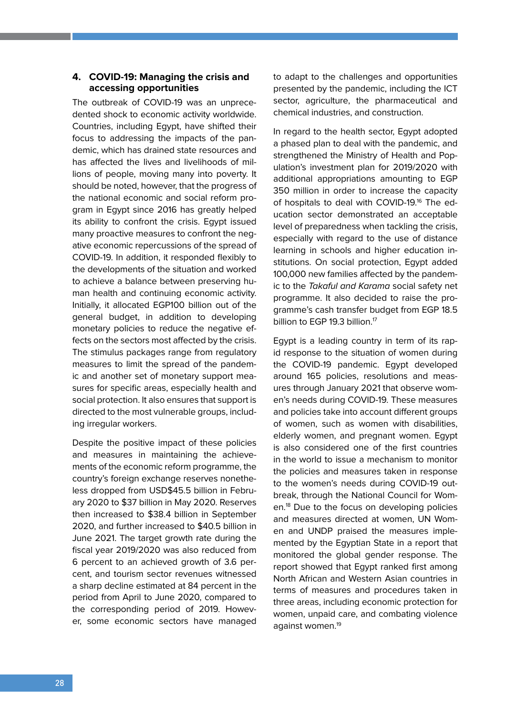#### **4. COVID-19: Managing the crisis and accessing opportunities**

The outbreak of COVID-19 was an unprecedented shock to economic activity worldwide. Countries, including Egypt, have shifted their focus to addressing the impacts of the pandemic, which has drained state resources and has affected the lives and livelihoods of millions of people, moving many into poverty. It should be noted, however, that the progress of the national economic and social reform program in Egypt since 2016 has greatly helped its ability to confront the crisis. Egypt issued many proactive measures to confront the negative economic repercussions of the spread of COVID-19. In addition, it responded flexibly to the developments of the situation and worked to achieve a balance between preserving human health and continuing economic activity. Initially, it allocated EGP100 billion out of the general budget, in addition to developing monetary policies to reduce the negative effects on the sectors most affected by the crisis. The stimulus packages range from regulatory measures to limit the spread of the pandemic and another set of monetary support measures for specific areas, especially health and social protection. It also ensures that support is directed to the most vulnerable groups, including irregular workers.

Despite the positive impact of these policies and measures in maintaining the achievements of the economic reform programme, the country's foreign exchange reserves nonetheless dropped from USD\$45.5 billion in February 2020 to \$37 billion in May 2020. Reserves then increased to \$38.4 billion in September 2020, and further increased to \$40.5 billion in June 2021. The target growth rate during the fiscal year 2019/2020 was also reduced from 6 percent to an achieved growth of 3.6 percent, and tourism sector revenues witnessed a sharp decline estimated at 84 percent in the period from April to June 2020, compared to the corresponding period of 2019. However, some economic sectors have managed to adapt to the challenges and opportunities presented by the pandemic, including the ICT sector, agriculture, the pharmaceutical and chemical industries, and construction.

In regard to the health sector, Egypt adopted a phased plan to deal with the pandemic, and strengthened the Ministry of Health and Population's investment plan for 2019/2020 with additional appropriations amounting to EGP 350 million in order to increase the capacity of hospitals to deal with COVID-19.<sup>16</sup> The education sector demonstrated an acceptable level of preparedness when tackling the crisis, especially with regard to the use of distance learning in schools and higher education institutions. On social protection, Egypt added 100,000 new families affected by the pandemic to the Takaful and Karama social safety net programme. It also decided to raise the programme's cash transfer budget from EGP 18.5 billion to EGP 19.3 billion.<sup>17</sup>

Egypt is a leading country in term of its rapid response to the situation of women during the COVID-19 pandemic. Egypt developed around 165 policies, resolutions and measures through January 2021 that observe women's needs during COVID-19. These measures and policies take into account different groups of women, such as women with disabilities, elderly women, and pregnant women. Egypt is also considered one of the first countries in the world to issue a mechanism to monitor the policies and measures taken in response to the women's needs during COVID-19 outbreak, through the National Council for Women.18 Due to the focus on developing policies and measures directed at women, UN Women and UNDP praised the measures implemented by the Egyptian State in a report that monitored the global gender response. The report showed that Egypt ranked first among North African and Western Asian countries in terms of measures and procedures taken in three areas, including economic protection for women, unpaid care, and combating violence against women.19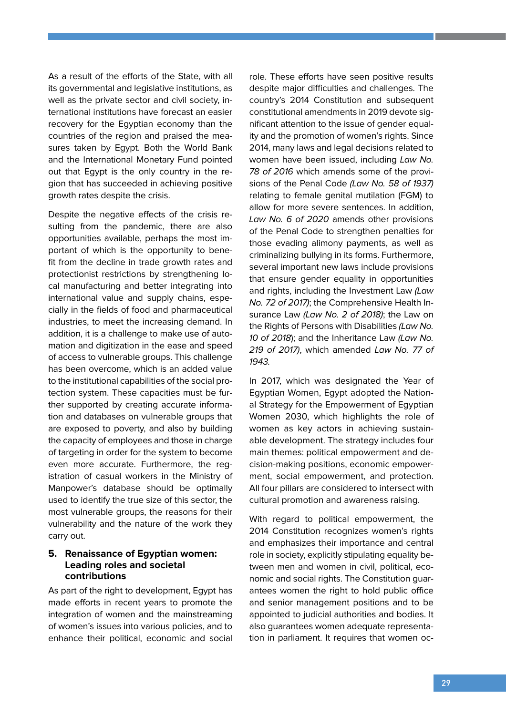As a result of the efforts of the State, with all its governmental and legislative institutions, as well as the private sector and civil society, international institutions have forecast an easier recovery for the Egyptian economy than the countries of the region and praised the measures taken by Egypt. Both the World Bank and the International Monetary Fund pointed out that Egypt is the only country in the region that has succeeded in achieving positive growth rates despite the crisis.

Despite the negative effects of the crisis resulting from the pandemic, there are also opportunities available, perhaps the most important of which is the opportunity to benefit from the decline in trade growth rates and protectionist restrictions by strengthening local manufacturing and better integrating into international value and supply chains, especially in the fields of food and pharmaceutical industries, to meet the increasing demand. In addition, it is a challenge to make use of automation and digitization in the ease and speed of access to vulnerable groups. This challenge has been overcome, which is an added value to the institutional capabilities of the social protection system. These capacities must be further supported by creating accurate information and databases on vulnerable groups that are exposed to poverty, and also by building the capacity of employees and those in charge of targeting in order for the system to become even more accurate. Furthermore, the registration of casual workers in the Ministry of Manpower's database should be optimally used to identify the true size of this sector, the most vulnerable groups, the reasons for their vulnerability and the nature of the work they carry out.

#### **5. Renaissance of Egyptian women: Leading roles and societal contributions**

As part of the right to development, Egypt has made efforts in recent years to promote the integration of women and the mainstreaming of women's issues into various policies, and to enhance their political, economic and social

role. These efforts have seen positive results despite major difficulties and challenges. The country's 2014 Constitution and subsequent constitutional amendments in 2019 devote significant attention to the issue of gender equality and the promotion of women's rights. Since 2014, many laws and legal decisions related to women have been issued, including Law No. 78 of 2016 which amends some of the provisions of the Penal Code (Law No. 58 of 1937) relating to female genital mutilation (FGM) to allow for more severe sentences. In addition, Law No. 6 of 2020 amends other provisions of the Penal Code to strengthen penalties for those evading alimony payments, as well as criminalizing bullying in its forms. Furthermore, several important new laws include provisions that ensure gender equality in opportunities and rights, including the Investment Law (Law No. 72 of 2017); the Comprehensive Health Insurance Law (Law No. 2 of 2018); the Law on the Rights of Persons with Disabilities (Law No. 10 of 2018); and the Inheritance Law (Law No. 219 of 2017), which amended Law No. 77 of 1943.

In 2017, which was designated the Year of Egyptian Women, Egypt adopted the National Strategy for the Empowerment of Egyptian Women 2030, which highlights the role of women as key actors in achieving sustainable development. The strategy includes four main themes: political empowerment and decision-making positions, economic empowerment, social empowerment, and protection. All four pillars are considered to intersect with cultural promotion and awareness raising.

With regard to political empowerment, the 2014 Constitution recognizes women's rights and emphasizes their importance and central role in society, explicitly stipulating equality between men and women in civil, political, economic and social rights. The Constitution guarantees women the right to hold public office and senior management positions and to be appointed to judicial authorities and bodies. It also guarantees women adequate representation in parliament. It requires that women oc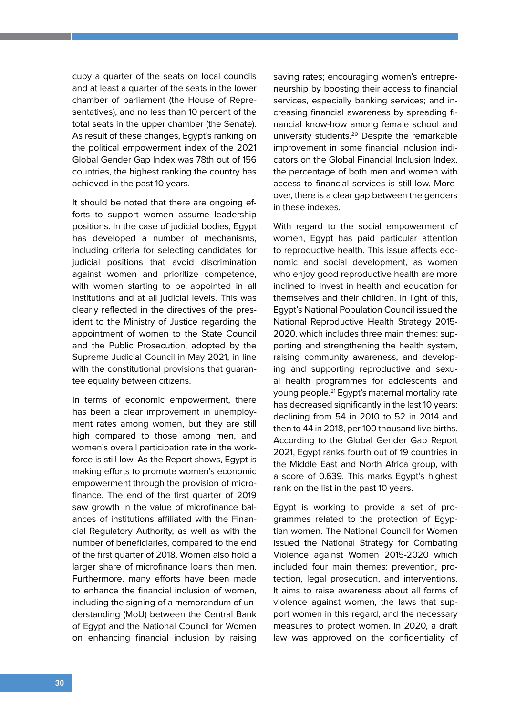cupy a quarter of the seats on local councils and at least a quarter of the seats in the lower chamber of parliament (the House of Representatives), and no less than 10 percent of the total seats in the upper chamber (the Senate). As result of these changes, Egypt's ranking on the political empowerment index of the 2021 Global Gender Gap Index was 78th out of 156 countries, the highest ranking the country has achieved in the past 10 years.

It should be noted that there are ongoing efforts to support women assume leadership positions. In the case of judicial bodies, Egypt has developed a number of mechanisms, including criteria for selecting candidates for judicial positions that avoid discrimination against women and prioritize competence, with women starting to be appointed in all institutions and at all judicial levels. This was clearly reflected in the directives of the president to the Ministry of Justice regarding the appointment of women to the State Council and the Public Prosecution, adopted by the Supreme Judicial Council in May 2021, in line with the constitutional provisions that guarantee equality between citizens.

In terms of economic empowerment, there has been a clear improvement in unemployment rates among women, but they are still high compared to those among men, and women's overall participation rate in the workforce is still low. As the Report shows, Egypt is making efforts to promote women's economic empowerment through the provision of microfinance. The end of the first quarter of 2019 saw growth in the value of microfinance balances of institutions affiliated with the Financial Regulatory Authority, as well as with the number of beneficiaries, compared to the end of the first quarter of 2018. Women also hold a larger share of microfinance loans than men. Furthermore, many efforts have been made to enhance the financial inclusion of women, including the signing of a memorandum of understanding (MoU) between the Central Bank of Egypt and the National Council for Women on enhancing financial inclusion by raising saving rates; encouraging women's entrepreneurship by boosting their access to financial services, especially banking services; and increasing financial awareness by spreading financial know-how among female school and university students.20 Despite the remarkable improvement in some financial inclusion indicators on the Global Financial Inclusion Index, the percentage of both men and women with access to financial services is still low. Moreover, there is a clear gap between the genders in these indexes.

With regard to the social empowerment of women, Egypt has paid particular attention to reproductive health. This issue affects economic and social development, as women who enjoy good reproductive health are more inclined to invest in health and education for themselves and their children. In light of this, Egypt's National Population Council issued the National Reproductive Health Strategy 2015- 2020, which includes three main themes: supporting and strengthening the health system, raising community awareness, and developing and supporting reproductive and sexual health programmes for adolescents and young people.<sup>21</sup> Egypt's maternal mortality rate has decreased significantly in the last 10 years: declining from 54 in 2010 to 52 in 2014 and then to 44 in 2018, per 100 thousand live births. According to the Global Gender Gap Report 2021, Egypt ranks fourth out of 19 countries in the Middle East and North Africa group, with a score of 0.639. This marks Egypt's highest rank on the list in the past 10 years.

Egypt is working to provide a set of programmes related to the protection of Egyptian women. The National Council for Women issued the National Strategy for Combating Violence against Women 2015-2020 which included four main themes: prevention, protection, legal prosecution, and interventions. It aims to raise awareness about all forms of violence against women, the laws that support women in this regard, and the necessary measures to protect women. In 2020, a draft law was approved on the confidentiality of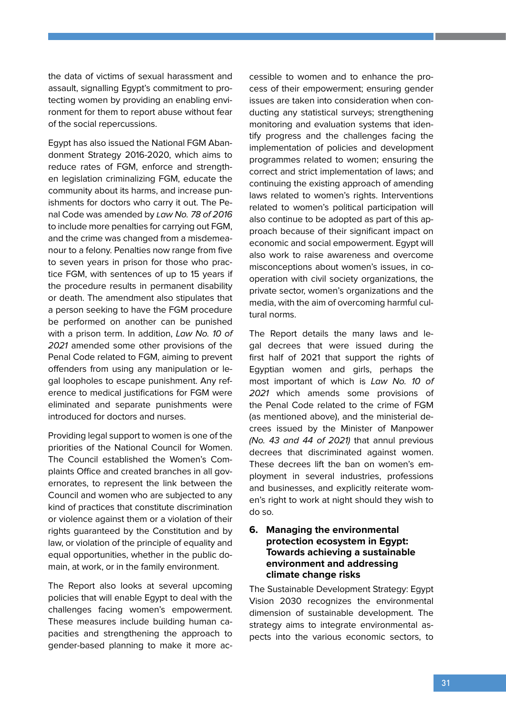the data of victims of sexual harassment and assault, signalling Egypt's commitment to protecting women by providing an enabling environment for them to report abuse without fear of the social repercussions.

Egypt has also issued the National FGM Abandonment Strategy 2016-2020, which aims to reduce rates of FGM, enforce and strengthen legislation criminalizing FGM, educate the community about its harms, and increase punishments for doctors who carry it out. The Penal Code was amended by Law No. 78 of 2016 to include more penalties for carrying out FGM, and the crime was changed from a misdemeanour to a felony. Penalties now range from five to seven years in prison for those who practice FGM, with sentences of up to 15 years if the procedure results in permanent disability or death. The amendment also stipulates that a person seeking to have the FGM procedure be performed on another can be punished with a prison term. In addition, Law No. 10 of 2021 amended some other provisions of the Penal Code related to FGM, aiming to prevent offenders from using any manipulation or legal loopholes to escape punishment. Any reference to medical justifications for FGM were eliminated and separate punishments were introduced for doctors and nurses.

Providing legal support to women is one of the priorities of the National Council for Women. The Council established the Women's Complaints Office and created branches in all governorates, to represent the link between the Council and women who are subjected to any kind of practices that constitute discrimination or violence against them or a violation of their rights guaranteed by the Constitution and by law, or violation of the principle of equality and equal opportunities, whether in the public domain, at work, or in the family environment.

The Report also looks at several upcoming policies that will enable Egypt to deal with the challenges facing women's empowerment. These measures include building human capacities and strengthening the approach to gender-based planning to make it more ac-

cessible to women and to enhance the process of their empowerment; ensuring gender issues are taken into consideration when conducting any statistical surveys; strengthening monitoring and evaluation systems that identify progress and the challenges facing the implementation of policies and development programmes related to women; ensuring the correct and strict implementation of laws; and continuing the existing approach of amending laws related to women's rights. Interventions related to women's political participation will also continue to be adopted as part of this approach because of their significant impact on economic and social empowerment. Egypt will also work to raise awareness and overcome misconceptions about women's issues, in cooperation with civil society organizations, the private sector, women's organizations and the media, with the aim of overcoming harmful cultural norms.

The Report details the many laws and legal decrees that were issued during the first half of 2021 that support the rights of Egyptian women and girls, perhaps the most important of which is Law No. 10 of 2021 which amends some provisions of the Penal Code related to the crime of FGM (as mentioned above), and the ministerial decrees issued by the Minister of Manpower (No. 43 and 44 of 2021) that annul previous decrees that discriminated against women. These decrees lift the ban on women's employment in several industries, professions and businesses, and explicitly reiterate women's right to work at night should they wish to do so.

#### **6. Managing the environmental protection ecosystem in Egypt: Towards achieving a sustainable environment and addressing climate change risks**

The Sustainable Development Strategy: Egypt Vision 2030 recognizes the environmental dimension of sustainable development. The strategy aims to integrate environmental aspects into the various economic sectors, to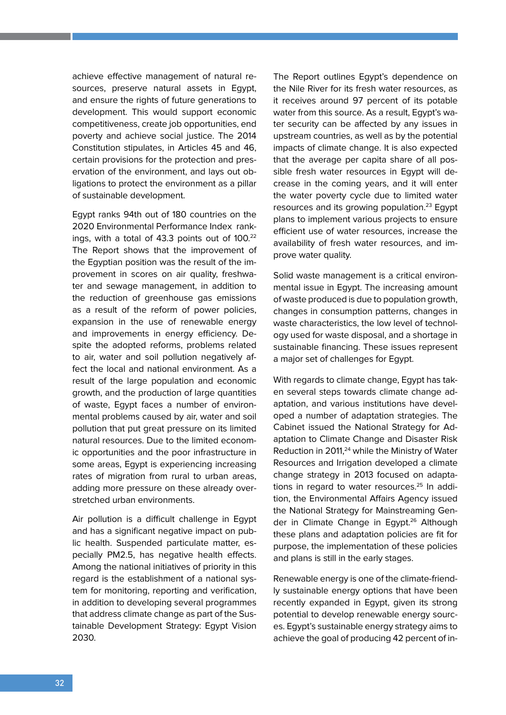achieve effective management of natural resources, preserve natural assets in Egypt, and ensure the rights of future generations to development. This would support economic competitiveness, create job opportunities, end poverty and achieve social justice. The 2014 Constitution stipulates, in Articles 45 and 46, certain provisions for the protection and preservation of the environment, and lays out obligations to protect the environment as a pillar of sustainable development.

Egypt ranks 94th out of 180 countries on the 2020 Environmental Performance Index rankings, with a total of 43.3 points out of 100.<sup>22</sup> The Report shows that the improvement of the Egyptian position was the result of the improvement in scores on air quality, freshwater and sewage management, in addition to the reduction of greenhouse gas emissions as a result of the reform of power policies, expansion in the use of renewable energy and improvements in energy efficiency. Despite the adopted reforms, problems related to air, water and soil pollution negatively affect the local and national environment. As a result of the large population and economic growth, and the production of large quantities of waste, Egypt faces a number of environmental problems caused by air, water and soil pollution that put great pressure on its limited natural resources. Due to the limited economic opportunities and the poor infrastructure in some areas, Egypt is experiencing increasing rates of migration from rural to urban areas, adding more pressure on these already overstretched urban environments.

Air pollution is a difficult challenge in Egypt and has a significant negative impact on public health. Suspended particulate matter, especially PM2.5, has negative health effects. Among the national initiatives of priority in this regard is the establishment of a national system for monitoring, reporting and verification, in addition to developing several programmes that address climate change as part of the Sustainable Development Strategy: Egypt Vision 2030.

The Report outlines Egypt's dependence on the Nile River for its fresh water resources, as it receives around 97 percent of its potable water from this source. As a result, Egypt's water security can be affected by any issues in upstream countries, as well as by the potential impacts of climate change. It is also expected that the average per capita share of all possible fresh water resources in Egypt will decrease in the coming years, and it will enter the water poverty cycle due to limited water resources and its growing population.<sup>23</sup> Egypt plans to implement various projects to ensure efficient use of water resources, increase the availability of fresh water resources, and improve water quality.

Solid waste management is a critical environmental issue in Egypt. The increasing amount of waste produced is due to population growth, changes in consumption patterns, changes in waste characteristics, the low level of technology used for waste disposal, and a shortage in sustainable financing. These issues represent a major set of challenges for Egypt.

With regards to climate change, Egypt has taken several steps towards climate change adaptation, and various institutions have developed a number of adaptation strategies. The Cabinet issued the National Strategy for Adaptation to Climate Change and Disaster Risk Reduction in 2011.<sup>24</sup> while the Ministry of Water Resources and Irrigation developed a climate change strategy in 2013 focused on adaptations in regard to water resources.<sup>25</sup> In addition, the Environmental Affairs Agency issued the National Strategy for Mainstreaming Gender in Climate Change in Egypt.<sup>26</sup> Although these plans and adaptation policies are fit for purpose, the implementation of these policies and plans is still in the early stages.

Renewable energy is one of the climate-friendly sustainable energy options that have been recently expanded in Egypt, given its strong potential to develop renewable energy sources. Egypt's sustainable energy strategy aims to achieve the goal of producing 42 percent of in-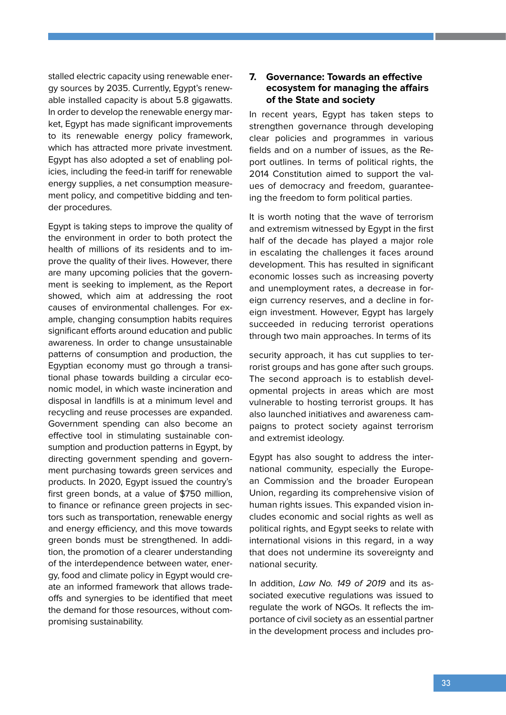stalled electric capacity using renewable energy sources by 2035. Currently, Egypt's renewable installed capacity is about 5.8 gigawatts. In order to develop the renewable energy market, Egypt has made significant improvements to its renewable energy policy framework, which has attracted more private investment. Egypt has also adopted a set of enabling policies, including the feed-in tariff for renewable energy supplies, a net consumption measurement policy, and competitive bidding and tender procedures.

Egypt is taking steps to improve the quality of the environment in order to both protect the health of millions of its residents and to improve the quality of their lives. However, there are many upcoming policies that the government is seeking to implement, as the Report showed, which aim at addressing the root causes of environmental challenges. For example, changing consumption habits requires significant efforts around education and public awareness. In order to change unsustainable patterns of consumption and production, the Egyptian economy must go through a transitional phase towards building a circular economic model, in which waste incineration and disposal in landfills is at a minimum level and recycling and reuse processes are expanded. Government spending can also become an effective tool in stimulating sustainable consumption and production patterns in Egypt, by directing government spending and government purchasing towards green services and products. In 2020, Egypt issued the country's first green bonds, at a value of \$750 million, to finance or refinance green projects in sectors such as transportation, renewable energy and energy efficiency, and this move towards green bonds must be strengthened. In addition, the promotion of a clearer understanding of the interdependence between water, energy, food and climate policy in Egypt would create an informed framework that allows tradeoffs and synergies to be identified that meet the demand for those resources, without compromising sustainability.

#### **7. Governance: Towards an effective ecosystem for managing the affairs of the State and society**

In recent years, Egypt has taken steps to strengthen governance through developing clear policies and programmes in various fields and on a number of issues, as the Report outlines. In terms of political rights, the 2014 Constitution aimed to support the values of democracy and freedom, guaranteeing the freedom to form political parties.

It is worth noting that the wave of terrorism and extremism witnessed by Egypt in the first half of the decade has played a major role in escalating the challenges it faces around development. This has resulted in significant economic losses such as increasing poverty and unemployment rates, a decrease in foreign currency reserves, and a decline in foreign investment. However, Egypt has largely succeeded in reducing terrorist operations through two main approaches. In terms of its

security approach, it has cut supplies to terrorist groups and has gone after such groups. The second approach is to establish developmental projects in areas which are most vulnerable to hosting terrorist groups. It has also launched initiatives and awareness campaigns to protect society against terrorism and extremist ideology.

Egypt has also sought to address the international community, especially the European Commission and the broader European Union, regarding its comprehensive vision of human rights issues. This expanded vision includes economic and social rights as well as political rights, and Egypt seeks to relate with international visions in this regard, in a way that does not undermine its sovereignty and national security.

In addition, Law No. 149 of 2019 and its associated executive regulations was issued to regulate the work of NGOs. It reflects the importance of civil society as an essential partner in the development process and includes pro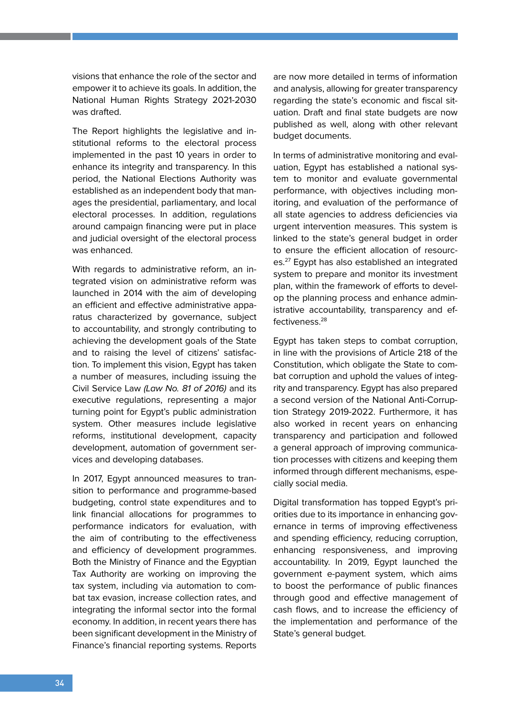visions that enhance the role of the sector and empower it to achieve its goals. In addition, the National Human Rights Strategy 2021-2030 was drafted.

The Report highlights the legislative and institutional reforms to the electoral process implemented in the past 10 years in order to enhance its integrity and transparency. In this period, the National Elections Authority was established as an independent body that manages the presidential, parliamentary, and local electoral processes. In addition, regulations around campaign financing were put in place and judicial oversight of the electoral process was enhanced.

With regards to administrative reform, an integrated vision on administrative reform was launched in 2014 with the aim of developing an efficient and effective administrative apparatus characterized by governance, subject to accountability, and strongly contributing to achieving the development goals of the State and to raising the level of citizens' satisfaction. To implement this vision, Egypt has taken a number of measures, including issuing the Civil Service Law (Law No. 81 of 2016) and its executive regulations, representing a major turning point for Egypt's public administration system. Other measures include legislative reforms, institutional development, capacity development, automation of government services and developing databases.

In 2017, Egypt announced measures to transition to performance and programme-based budgeting, control state expenditures and to link financial allocations for programmes to performance indicators for evaluation, with the aim of contributing to the effectiveness and efficiency of development programmes. Both the Ministry of Finance and the Egyptian Tax Authority are working on improving the tax system, including via automation to combat tax evasion, increase collection rates, and integrating the informal sector into the formal economy. In addition, in recent years there has been significant development in the Ministry of Finance's financial reporting systems. Reports are now more detailed in terms of information and analysis, allowing for greater transparency regarding the state's economic and fiscal situation. Draft and final state budgets are now published as well, along with other relevant budget documents.

In terms of administrative monitoring and evaluation, Egypt has established a national system to monitor and evaluate governmental performance, with objectives including monitoring, and evaluation of the performance of all state agencies to address deficiencies via urgent intervention measures. This system is linked to the state's general budget in order to ensure the efficient allocation of resources.27 Egypt has also established an integrated system to prepare and monitor its investment plan, within the framework of efforts to develop the planning process and enhance administrative accountability, transparency and effectiveness.28

Egypt has taken steps to combat corruption, in line with the provisions of Article 218 of the Constitution, which obligate the State to combat corruption and uphold the values of integrity and transparency. Egypt has also prepared a second version of the National Anti-Corruption Strategy 2019-2022. Furthermore, it has also worked in recent years on enhancing transparency and participation and followed a general approach of improving communication processes with citizens and keeping them informed through different mechanisms, especially social media.

Digital transformation has topped Egypt's priorities due to its importance in enhancing governance in terms of improving effectiveness and spending efficiency, reducing corruption, enhancing responsiveness, and improving accountability. In 2019, Egypt launched the government e-payment system, which aims to boost the performance of public finances through good and effective management of cash flows, and to increase the efficiency of the implementation and performance of the State's general budget.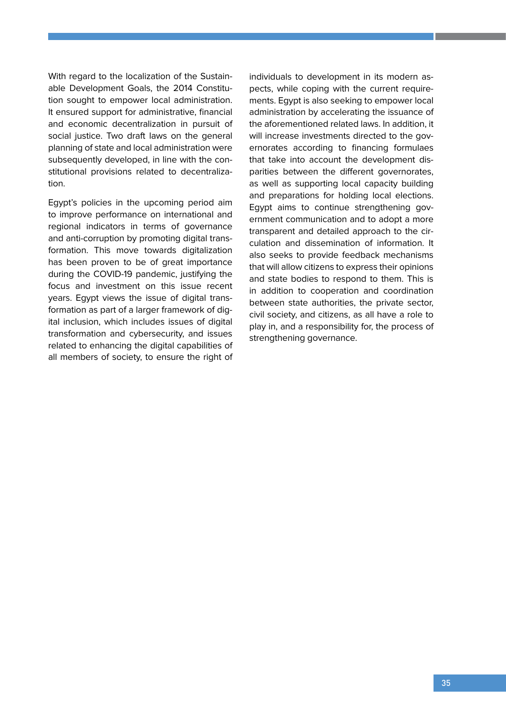With regard to the localization of the Sustainable Development Goals, the 2014 Constitution sought to empower local administration. It ensured support for administrative, financial and economic decentralization in pursuit of social justice. Two draft laws on the general planning of state and local administration were subsequently developed, in line with the constitutional provisions related to decentralization.

Egypt's policies in the upcoming period aim to improve performance on international and regional indicators in terms of governance and anti-corruption by promoting digital transformation. This move towards digitalization has been proven to be of great importance during the COVID-19 pandemic, justifying the focus and investment on this issue recent years. Egypt views the issue of digital transformation as part of a larger framework of digital inclusion, which includes issues of digital transformation and cybersecurity, and issues related to enhancing the digital capabilities of all members of society, to ensure the right of

individuals to development in its modern aspects, while coping with the current requirements. Egypt is also seeking to empower local administration by accelerating the issuance of the aforementioned related laws. In addition, it will increase investments directed to the governorates according to financing formulaes that take into account the development disparities between the different governorates, as well as supporting local capacity building and preparations for holding local elections. Egypt aims to continue strengthening government communication and to adopt a more transparent and detailed approach to the circulation and dissemination of information. It also seeks to provide feedback mechanisms that will allow citizens to express their opinions and state bodies to respond to them. This is in addition to cooperation and coordination between state authorities, the private sector, civil society, and citizens, as all have a role to play in, and a responsibility for, the process of strengthening governance.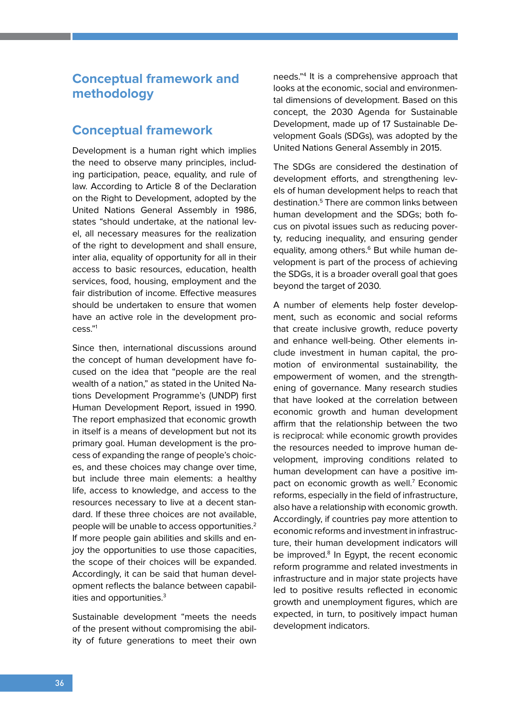# **Conceptual framework and methodology**

## **Conceptual framework**

Development is a human right which implies the need to observe many principles, including participation, peace, equality, and rule of law. According to Article 8 of the Declaration on the Right to Development, adopted by the United Nations General Assembly in 1986, states "should undertake, at the national level, all necessary measures for the realization of the right to development and shall ensure, inter alia, equality of opportunity for all in their access to basic resources, education, health services, food, housing, employment and the fair distribution of income. Effective measures should be undertaken to ensure that women have an active role in the development process."1

Since then, international discussions around the concept of human development have focused on the idea that "people are the real wealth of a nation," as stated in the United Nations Development Programme's (UNDP) first Human Development Report, issued in 1990. The report emphasized that economic growth in itself is a means of development but not its primary goal. Human development is the process of expanding the range of people's choices, and these choices may change over time, but include three main elements: a healthy life, access to knowledge, and access to the resources necessary to live at a decent standard. If these three choices are not available, people will be unable to access opportunities.<sup>2</sup> If more people gain abilities and skills and enjoy the opportunities to use those capacities, the scope of their choices will be expanded. Accordingly, it can be said that human development reflects the balance between capabilities and opportunities.<sup>3</sup>

Sustainable development "meets the needs of the present without compromising the ability of future generations to meet their own needs."4 It is a comprehensive approach that looks at the economic, social and environmental dimensions of development. Based on this concept, the 2030 Agenda for Sustainable Development, made up of 17 Sustainable Development Goals (SDGs), was adopted by the United Nations General Assembly in 2015.

The SDGs are considered the destination of development efforts, and strengthening levels of human development helps to reach that destination.5 There are common links between human development and the SDGs; both focus on pivotal issues such as reducing poverty, reducing inequality, and ensuring gender equality, among others.<sup>6</sup> But while human development is part of the process of achieving the SDGs, it is a broader overall goal that goes beyond the target of 2030.

A number of elements help foster development, such as economic and social reforms that create inclusive growth, reduce poverty and enhance well-being. Other elements include investment in human capital, the promotion of environmental sustainability, the empowerment of women, and the strengthening of governance. Many research studies that have looked at the correlation between economic growth and human development affirm that the relationship between the two is reciprocal: while economic growth provides the resources needed to improve human development, improving conditions related to human development can have a positive impact on economic growth as well.<sup>7</sup> Economic reforms, especially in the field of infrastructure, also have a relationship with economic growth. Accordingly, if countries pay more attention to economic reforms and investment in infrastructure, their human development indicators will be improved.<sup>8</sup> In Egypt, the recent economic reform programme and related investments in infrastructure and in major state projects have led to positive results reflected in economic growth and unemployment figures, which are expected, in turn, to positively impact human development indicators.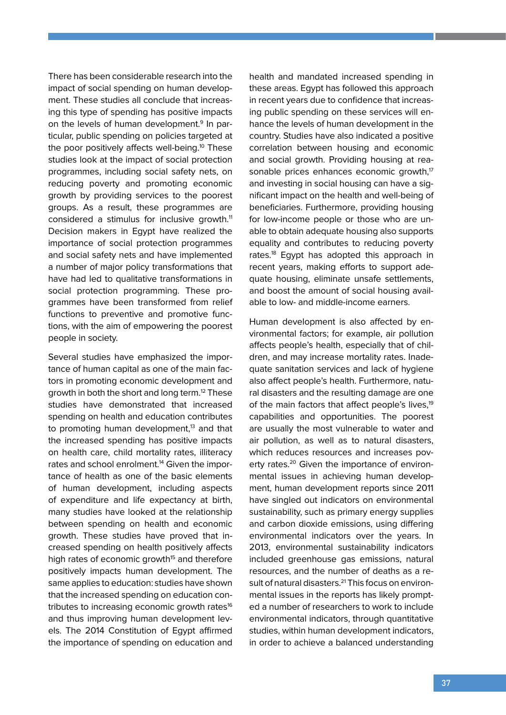There has been considerable research into the impact of social spending on human development. These studies all conclude that increasing this type of spending has positive impacts on the levels of human development.<sup>9</sup> In particular, public spending on policies targeted at the poor positively affects well-being.<sup>10</sup> These studies look at the impact of social protection programmes, including social safety nets, on reducing poverty and promoting economic growth by providing services to the poorest groups. As a result, these programmes are considered a stimulus for inclusive growth.<sup>11</sup> Decision makers in Egypt have realized the importance of social protection programmes and social safety nets and have implemented a number of major policy transformations that have had led to qualitative transformations in social protection programming. These programmes have been transformed from relief functions to preventive and promotive functions, with the aim of empowering the poorest people in society.

Several studies have emphasized the importance of human capital as one of the main factors in promoting economic development and growth in both the short and long term.12 These studies have demonstrated that increased spending on health and education contributes to promoting human development, $13$  and that the increased spending has positive impacts on health care, child mortality rates, illiteracy rates and school enrolment.<sup>14</sup> Given the importance of health as one of the basic elements of human development, including aspects of expenditure and life expectancy at birth, many studies have looked at the relationship between spending on health and economic growth. These studies have proved that increased spending on health positively affects high rates of economic growth<sup>15</sup> and therefore positively impacts human development. The same applies to education: studies have shown that the increased spending on education contributes to increasing economic growth rates<sup>16</sup> and thus improving human development levels. The 2014 Constitution of Egypt affirmed the importance of spending on education and

health and mandated increased spending in these areas. Egypt has followed this approach in recent years due to confidence that increasing public spending on these services will enhance the levels of human development in the country. Studies have also indicated a positive correlation between housing and economic and social growth. Providing housing at reasonable prices enhances economic growth, $17$ and investing in social housing can have a significant impact on the health and well-being of beneficiaries. Furthermore, providing housing for low-income people or those who are unable to obtain adequate housing also supports equality and contributes to reducing poverty rates.<sup>18</sup> Egypt has adopted this approach in recent years, making efforts to support adequate housing, eliminate unsafe settlements, and boost the amount of social housing available to low- and middle-income earners.

Human development is also affected by environmental factors; for example, air pollution affects people's health, especially that of children, and may increase mortality rates. Inadequate sanitation services and lack of hygiene also affect people's health. Furthermore, natural disasters and the resulting damage are one of the main factors that affect people's lives.<sup>19</sup> capabilities and opportunities. The poorest are usually the most vulnerable to water and air pollution, as well as to natural disasters, which reduces resources and increases poverty rates.<sup>20</sup> Given the importance of environmental issues in achieving human development, human development reports since 2011 have singled out indicators on environmental sustainability, such as primary energy supplies and carbon dioxide emissions, using differing environmental indicators over the years. In 2013, environmental sustainability indicators included greenhouse gas emissions, natural resources, and the number of deaths as a result of natural disasters.<sup>21</sup> This focus on environmental issues in the reports has likely prompted a number of researchers to work to include environmental indicators, through quantitative studies, within human development indicators, in order to achieve a balanced understanding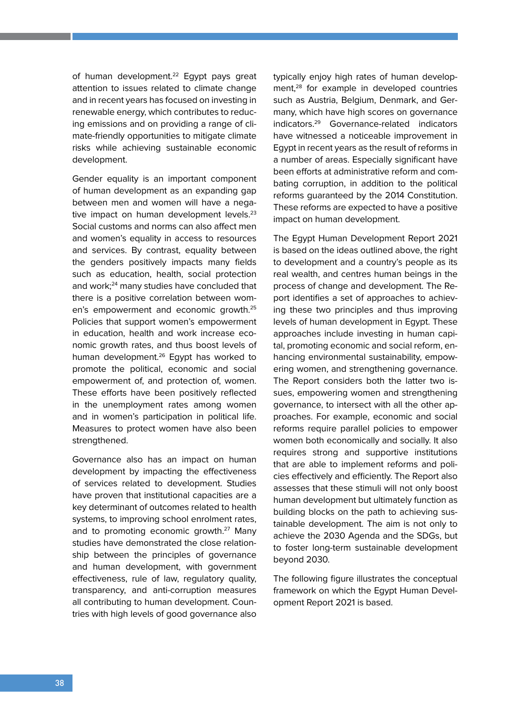of human development.<sup>22</sup> Egypt pays great attention to issues related to climate change and in recent years has focused on investing in renewable energy, which contributes to reducing emissions and on providing a range of climate-friendly opportunities to mitigate climate risks while achieving sustainable economic development.

Gender equality is an important component of human development as an expanding gap between men and women will have a negative impact on human development levels.<sup>23</sup> Social customs and norms can also affect men and women's equality in access to resources and services. By contrast, equality between the genders positively impacts many fields such as education, health, social protection and work;<sup>24</sup> many studies have concluded that there is a positive correlation between women's empowerment and economic growth.25 Policies that support women's empowerment in education, health and work increase economic growth rates, and thus boost levels of human development.<sup>26</sup> Egypt has worked to promote the political, economic and social empowerment of, and protection of, women. These efforts have been positively reflected in the unemployment rates among women and in women's participation in political life. Measures to protect women have also been strengthened.

Governance also has an impact on human development by impacting the effectiveness of services related to development. Studies have proven that institutional capacities are a key determinant of outcomes related to health systems, to improving school enrolment rates, and to promoting economic growth.27 Many studies have demonstrated the close relationship between the principles of governance and human development, with government effectiveness, rule of law, regulatory quality, transparency, and anti-corruption measures all contributing to human development. Countries with high levels of good governance also

typically enjoy high rates of human development,<sup>28</sup> for example in developed countries such as Austria, Belgium, Denmark, and Germany, which have high scores on governance indicators.29 Governance-related indicators have witnessed a noticeable improvement in Egypt in recent years as the result of reforms in a number of areas. Especially significant have been efforts at administrative reform and combating corruption, in addition to the political reforms guaranteed by the 2014 Constitution. These reforms are expected to have a positive impact on human development.

The Egypt Human Development Report 2021 is based on the ideas outlined above, the right to development and a country's people as its real wealth, and centres human beings in the process of change and development. The Report identifies a set of approaches to achieving these two principles and thus improving levels of human development in Egypt. These approaches include investing in human capital, promoting economic and social reform, enhancing environmental sustainability, empowering women, and strengthening governance. The Report considers both the latter two issues, empowering women and strengthening governance, to intersect with all the other approaches. For example, economic and social reforms require parallel policies to empower women both economically and socially. It also requires strong and supportive institutions that are able to implement reforms and policies effectively and efficiently. The Report also assesses that these stimuli will not only boost human development but ultimately function as building blocks on the path to achieving sustainable development. The aim is not only to achieve the 2030 Agenda and the SDGs, but to foster long-term sustainable development beyond 2030.

The following figure illustrates the conceptual framework on which the Egypt Human Development Report 2021 is based.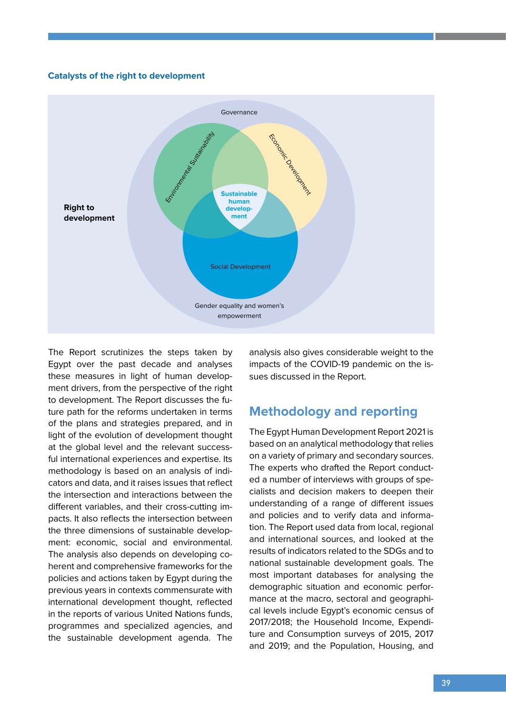#### **Catalysts of the right to development**



The Report scrutinizes the steps taken by Egypt over the past decade and analyses these measures in light of human development drivers, from the perspective of the right to development. The Report discusses the future path for the reforms undertaken in terms of the plans and strategies prepared, and in light of the evolution of development thought at the global level and the relevant successful international experiences and expertise. Its methodology is based on an analysis of indicators and data, and it raises issues that reflect the intersection and interactions between the different variables, and their cross-cutting impacts. It also reflects the intersection between the three dimensions of sustainable development: economic, social and environmental. The analysis also depends on developing coherent and comprehensive frameworks for the policies and actions taken by Egypt during the previous years in contexts commensurate with international development thought, reflected in the reports of various United Nations funds, programmes and specialized agencies, and the sustainable development agenda. The

analysis also gives considerable weight to the impacts of the COVID-19 pandemic on the issues discussed in the Report.

### **Methodology and reporting**

The Egypt Human Development Report 2021 is based on an analytical methodology that relies on a variety of primary and secondary sources. The experts who drafted the Report conducted a number of interviews with groups of specialists and decision makers to deepen their understanding of a range of different issues and policies and to verify data and information. The Report used data from local, regional and international sources, and looked at the results of indicators related to the SDGs and to national sustainable development goals. The most important databases for analysing the demographic situation and economic performance at the macro, sectoral and geographical levels include Egypt's economic census of 2017/2018; the Household Income, Expenditure and Consumption surveys of 2015, 2017 and 2019; and the Population, Housing, and